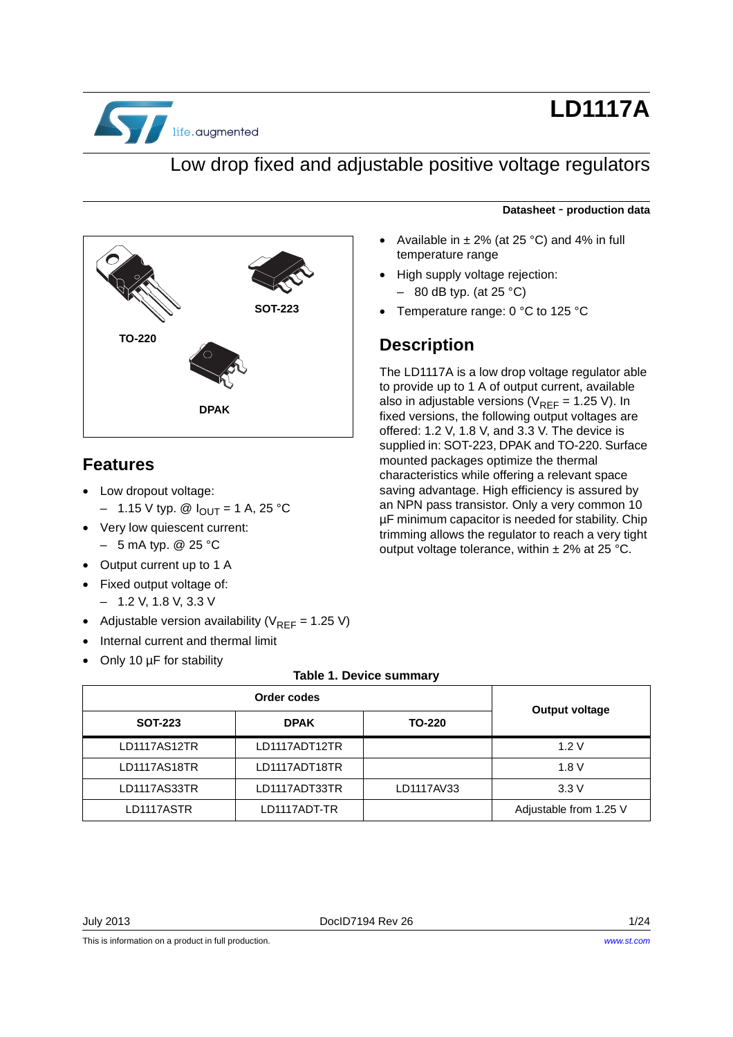

# **LD1117A**

### Low drop fixed and adjustable positive voltage regulators



### **Features**

- Low dropout voltage:
	- $1.15 \text{ V}$  typ. @  $I_{\text{OUT}} = 1 \text{ A}$ , 25 °C
- Very low quiescent current:
	- $-5$  mA typ. @ 25 °C
- Output current up to 1 A
- Fixed output voltage of: – 1.2 V, 1.8 V, 3.3 V
- Adjustable version availability ( $V_{REF}$  = 1.25 V)
- Internal current and thermal limit
- Only 10 µF for stability

### **Datasheet** - **production data**

- Available in  $\pm 2\%$  (at 25 °C) and 4% in full temperature range
- High supply voltage rejection:  $-$  80 dB typ. (at 25 °C)
- Temperature range: 0 °C to 125 °C

### **Description**

The LD1117A is a low drop voltage regulator able to provide up to 1 A of output current, available also in adjustable versions ( $V_{REF}$  = 1.25 V). In fixed versions, the following output voltages are offered: 1.2 V, 1.8 V, and 3.3 V. The device is supplied in: SOT-223, DPAK and TO-220. Surface mounted packages optimize the thermal characteristics while offering a relevant space saving advantage. High efficiency is assured by an NPN pass transistor. Only a very common 10 µF minimum capacitor is needed for stability. Chip trimming allows the regulator to reach a very tight output voltage tolerance, within  $\pm$  2% at 25 °C.

|  | Table 1. Device summary |
|--|-------------------------|
|  |                         |

<span id="page-0-0"></span>

| <b>SOT-223</b> | <b>DPAK</b>   | TO-220     | Output voltage         |
|----------------|---------------|------------|------------------------|
| LD1117AS12TR   | LD1117ADT12TR |            | 1.2V                   |
| LD1117AS18TR   | LD1117ADT18TR |            | 1.8V                   |
| LD1117AS33TR   | LD1117ADT33TR | LD1117AV33 | 3.3V                   |
| LD1117ASTR     | LD1117ADT-TR  |            | Adjustable from 1.25 V |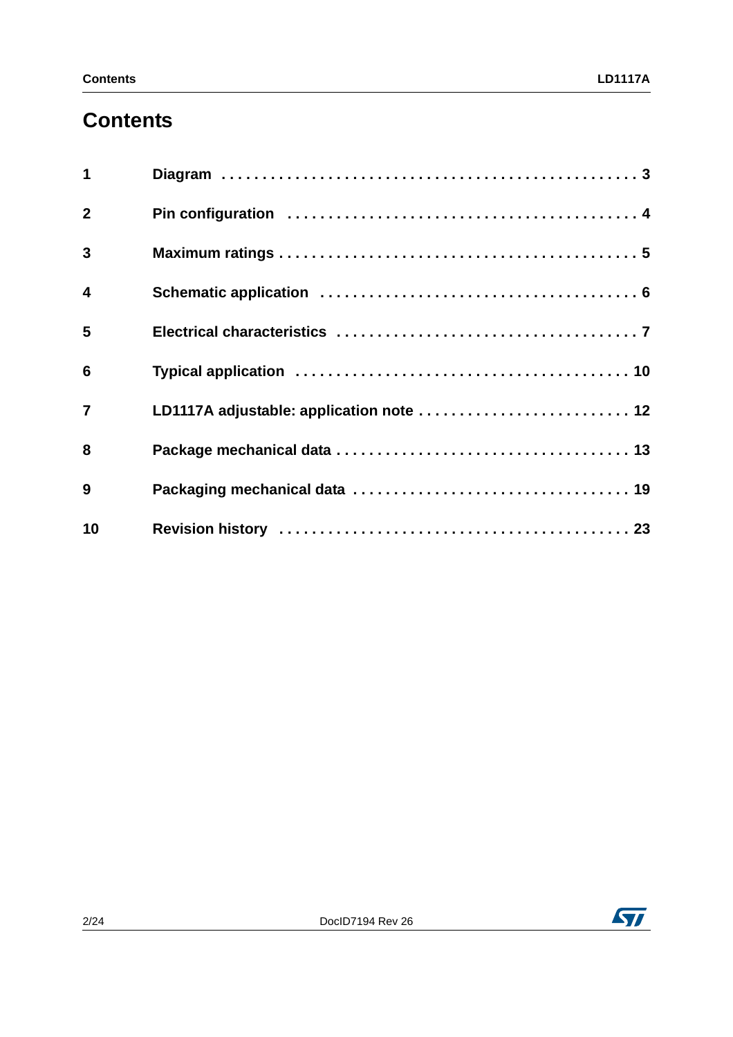# **Contents**

| $\mathbf 1$             |                                          |
|-------------------------|------------------------------------------|
| $\overline{2}$          |                                          |
| $\overline{\mathbf{3}}$ |                                          |
| $\overline{\mathbf{4}}$ |                                          |
| 5                       |                                          |
| $6\phantom{1}6$         |                                          |
| $\overline{7}$          | LD1117A adjustable: application note  12 |
| 8                       |                                          |
| 9                       |                                          |
| 10                      |                                          |

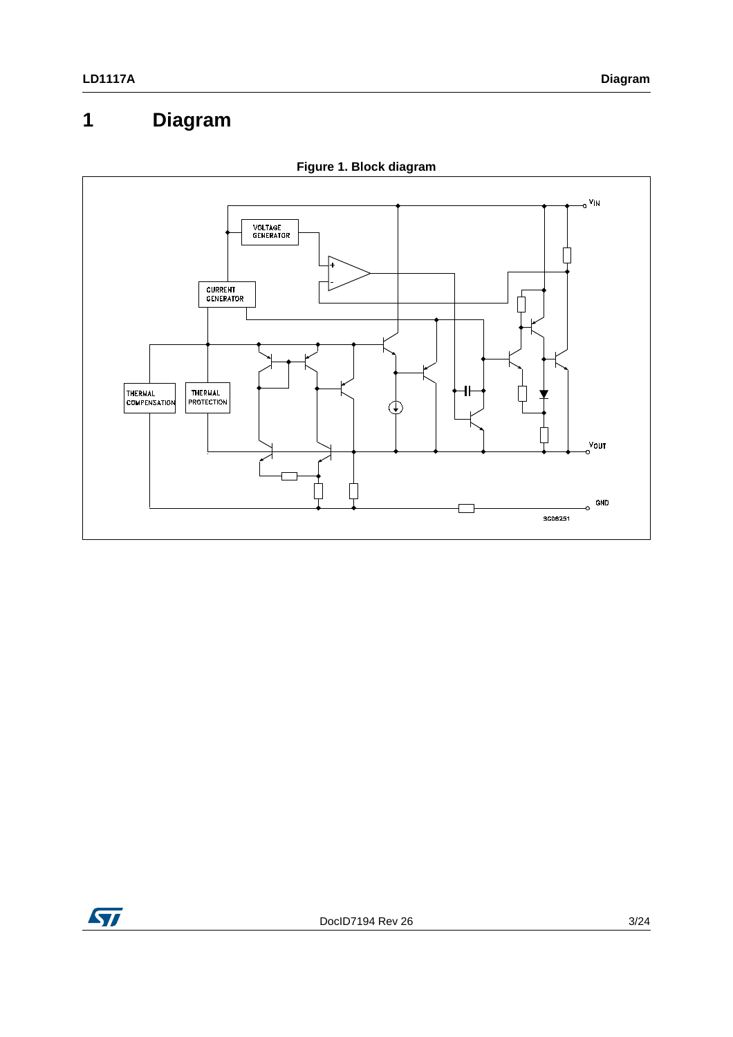# <span id="page-2-0"></span>**1 Diagram**





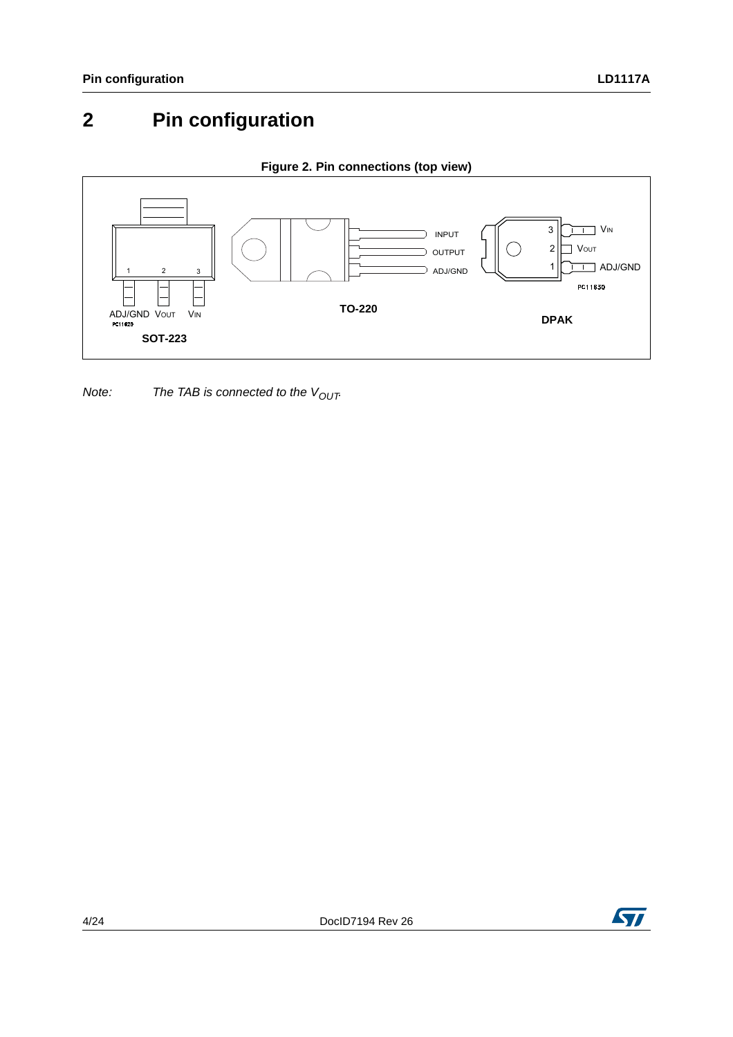# <span id="page-3-0"></span>**2 Pin configuration**



*Note:* The TAB is connected to the V<sub>OUT</sub>.

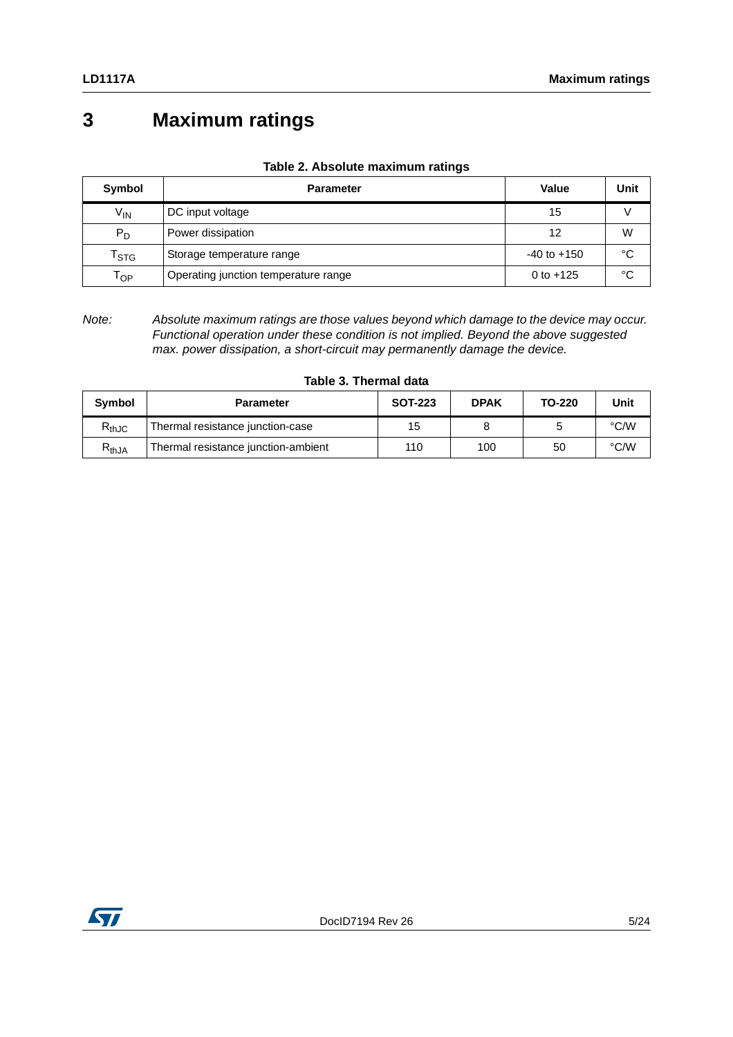# <span id="page-4-0"></span>**3 Maximum ratings**

<span id="page-4-1"></span>

| Symbol                      | <b>Parameter</b>                     | Value           | Unit |
|-----------------------------|--------------------------------------|-----------------|------|
| $V_{IN}$                    | DC input voltage                     | 15              |      |
| $P_D$                       | Power dissipation                    | 12              | W    |
| $\mathsf{T}_{\textsf{STG}}$ | Storage temperature range            | $-40$ to $+150$ | °C   |
| $T_{OP}$                    | Operating junction temperature range | 0 to $+125$     | °C   |

### **Table 2. Absolute maximum ratings**

*Note: Absolute maximum ratings are those values beyond which damage to the device may occur. Functional operation under these condition is not implied. Beyond the above suggested max. power dissipation, a short-circuit may permanently damage the device.*

#### **Table 3. Thermal data**

<span id="page-4-2"></span>

| Symbol     | Parameter                           | <b>SOT-223</b> | <b>DPAK</b> | <b>TO-220</b> | Unit |
|------------|-------------------------------------|----------------|-------------|---------------|------|
| $R_{thJC}$ | Thermal resistance junction-case    | 15             |             |               | °C/W |
| $R_{thJA}$ | Thermal resistance junction-ambient | 110            | 100         | 50            | °C/W |

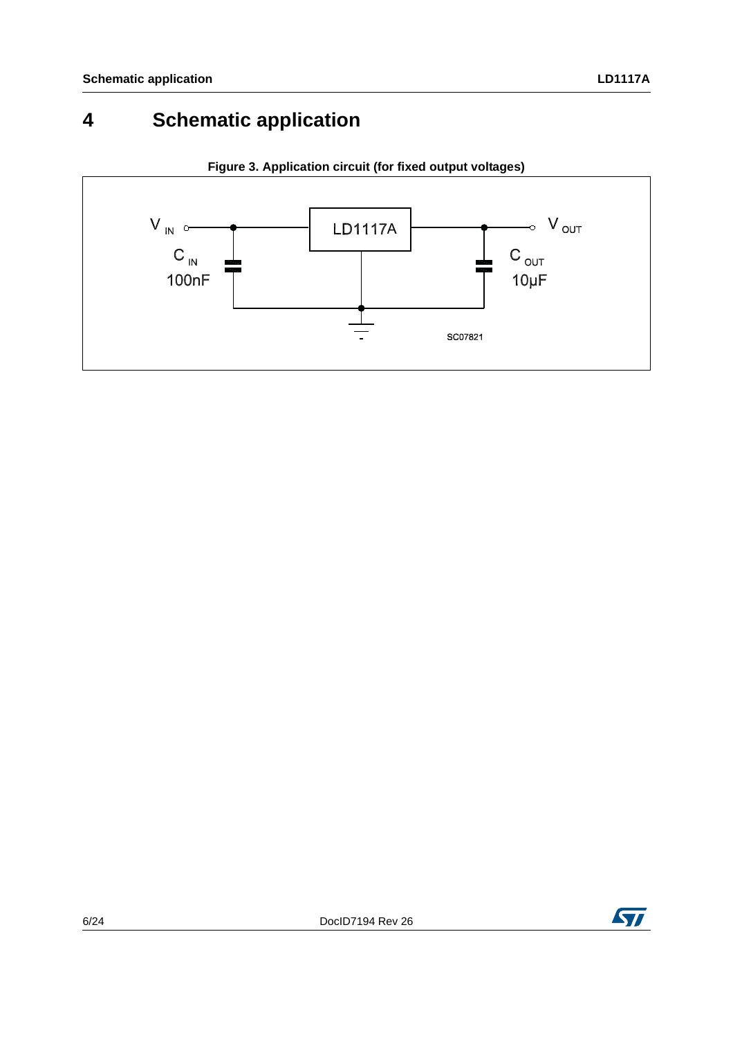# <span id="page-5-0"></span>**4 Schematic application**



### **Figure 3. Application circuit (for fixed output voltages)**

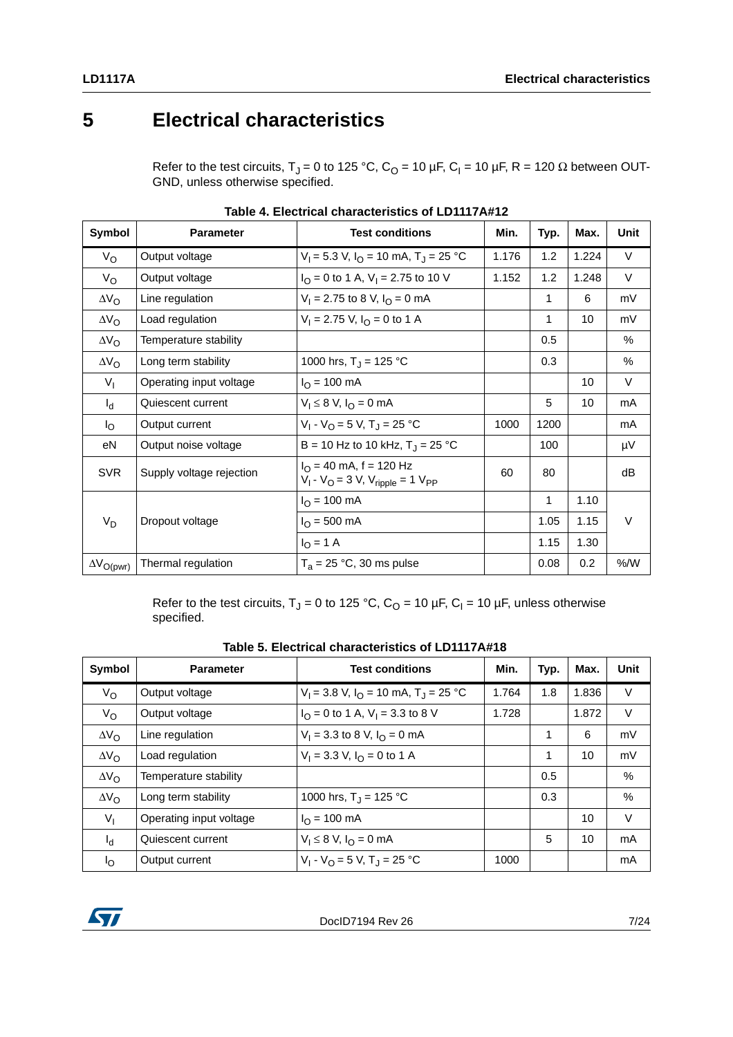# <span id="page-6-0"></span>**5 Electrical characteristics**

Refer to the test circuits, T $_{\rm J}$  = 0 to 125 °C, C $_{\rm O}$  = 10 µF, C $_{\rm I}$  = 10 µF, R = 120  $\Omega$  between OUT-GND, unless otherwise specified.

| Symbol              | <b>Parameter</b>         | <b>Test conditions</b>                                                                        | Min.  | Typ. | Max.  | Unit   |
|---------------------|--------------------------|-----------------------------------------------------------------------------------------------|-------|------|-------|--------|
| $V_{\rm O}$         | Output voltage           | $V_1 = 5.3$ V, $I_{\Omega} = 10$ mA, T <sub>J</sub> = 25 °C                                   | 1.176 | 1.2  | 1.224 | V      |
| $V_{\rm O}$         | Output voltage           | $I_{\Omega}$ = 0 to 1 A, V <sub>1</sub> = 2.75 to 10 V                                        | 1.152 | 1.2  | 1.248 | $\vee$ |
| $\Delta V_{\rm O}$  | Line regulation          | $V_1 = 2.75$ to 8 V, $I_{\Omega} = 0$ mA                                                      |       | 1    | 6     | mV     |
| $\Delta V_{\rm O}$  | Load regulation          | $V_1 = 2.75$ V, $I_{\Omega} = 0$ to 1 A                                                       |       | 1    | 10    | mV     |
| $\Delta V_{\rm O}$  | Temperature stability    |                                                                                               |       | 0.5  |       | $\%$   |
| $\Delta V_{\rm O}$  | Long term stability      | 1000 hrs, $T_J = 125 °C$                                                                      |       | 0.3  |       | %      |
| $V_{I}$             | Operating input voltage  | $I_{\Omega}$ = 100 mA                                                                         |       |      | 10    | V      |
| $I_{d}$             | Quiescent current        | $V_1 \le 8$ V, $I_0 = 0$ mA                                                                   |       | 5    | 10    | mA     |
| $I_{\rm O}$         | Output current           | $V_1 - V_{\Omega} = 5 V$ , T <sub>J</sub> = 25 °C                                             | 1000  | 1200 |       | mA     |
| eN                  | Output noise voltage     | B = 10 Hz to 10 kHz, $T_{\rm J}$ = 25 °C                                                      |       | 100  |       | μV     |
| <b>SVR</b>          | Supply voltage rejection | $I_{\Omega}$ = 40 mA, f = 120 Hz<br>$V_1 - V_0 = 3 V$ , $V_{\text{ripole}} = 1 V_{\text{PP}}$ | 60    | 80   |       | dB     |
|                     |                          | $I_{\Omega}$ = 100 mA                                                                         |       | 1    | 1.10  |        |
| $V_D$               | Dropout voltage          | $I_{\Omega} = 500 \text{ mA}$                                                                 |       | 1.05 | 1.15  | $\vee$ |
|                     |                          | $I_{\Omega} = 1$ A                                                                            |       | 1.15 | 1.30  |        |
| $\Delta V_{O(pwr)}$ | Thermal regulation       | $T_a = 25 °C$ , 30 ms pulse                                                                   |       | 0.08 | 0.2   | % /W   |

Refer to the test circuits,  $T_J$  = 0 to 125 °C, C<sub>O</sub> = 10 µF, C<sub>I</sub> = 10 µF, unless otherwise specified.

| Symbol              | <b>Parameter</b>        | <b>Test conditions</b>                            | Min.  | Typ. | Max.  | Unit   |
|---------------------|-------------------------|---------------------------------------------------|-------|------|-------|--------|
| $V_{\rm O}$         | Output voltage          | $V_1 = 3.8$ V, $I_Q = 10$ mA, $T_J = 25$ °C       | 1.764 | 1.8  | 1.836 | $\vee$ |
| $V_{\rm O}$         | Output voltage          | $I_{\Omega} = 0$ to 1 A, $V_{I} = 3.3$ to 8 V     | 1.728 |      | 1.872 | $\vee$ |
| $\Delta V_{\rm O}$  | Line regulation         | $V_1 = 3.3$ to 8 V, $I_0 = 0$ mA                  |       | 1    | 6     | mV     |
| $\Delta V_{\rm O}$  | Load regulation         | $V_1 = 3.3$ V, $I_0 = 0$ to 1 A                   |       | 1    | 10    | mV     |
| $\Delta V_{\Omega}$ | Temperature stability   |                                                   |       | 0.5  |       | %      |
| $\Delta V_{\rm O}$  | Long term stability     | 1000 hrs, $T_{\rm J}$ = 125 °C                    |       | 0.3  |       | %      |
| $V_{I}$             | Operating input voltage | $I_{\Omega}$ = 100 mA                             |       |      | 10    | V      |
| $I_{d}$             | Quiescent current       | $V_1 \le 8$ V, $I_0 = 0$ mA                       |       | 5    | 10    | mA     |
| Ιo                  | Output current          | $V_1 - V_{\Omega} = 5 V$ , T <sub>J</sub> = 25 °C | 1000  |      |       | mA     |

**Table 5. Electrical characteristics of LD1117A#18**

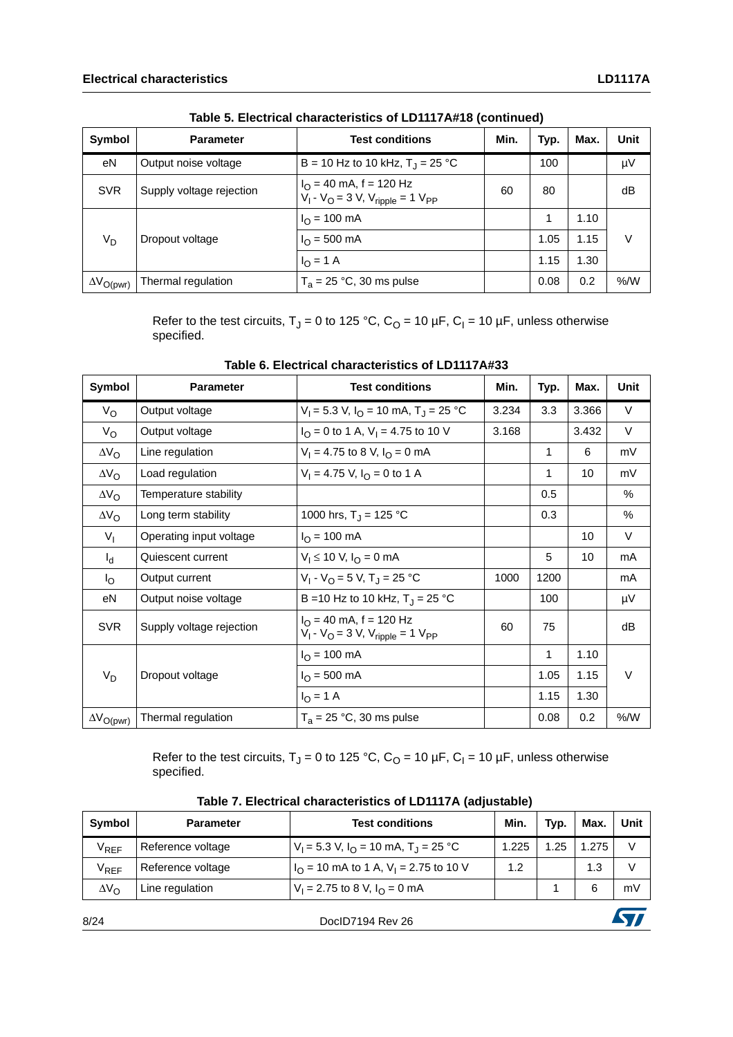| Symbol                       | <b>Parameter</b>         | <b>Test conditions</b>                                                                                     | Min. | Typ. | Max. | Unit |
|------------------------------|--------------------------|------------------------------------------------------------------------------------------------------------|------|------|------|------|
| eN                           | Output noise voltage     | B = 10 Hz to 10 kHz, $T_J$ = 25 °C                                                                         |      | 100  |      | μV   |
| <b>SVR</b>                   | Supply voltage rejection | $IO = 40$ mA, f = 120 Hz<br>V <sub>I</sub> - V <sub>O</sub> = 3 V, V <sub>ripple</sub> = 1 V <sub>PP</sub> | 60   | 80   |      | dB   |
|                              |                          | $I_{\Omega}$ = 100 mA                                                                                      |      |      | 1.10 |      |
| V <sub>D</sub>               | Dropout voltage          | $I_{\Omega} = 500 \text{ mA}$                                                                              |      | 1.05 | 1.15 | V    |
|                              |                          | $I_{\Omega} = 1$ A                                                                                         |      | 1.15 | 1.30 |      |
| $\Delta V$ <sub>O(pwr)</sub> | Thermal regulation       | $T_a = 25$ °C, 30 ms pulse                                                                                 |      | 0.08 | 0.2  | % /W |

**Table 5. Electrical characteristics of LD1117A#18 (continued)**

Refer to the test circuits,  $T_J$  = 0 to 125 °C, C<sub>O</sub> = 10 µF, C<sub>I</sub> = 10 µF, unless otherwise specified.

| Symbol              | <b>Parameter</b>         | <b>Test conditions</b>                                                                        | Min.  | Typ. | Max.  | Unit   |
|---------------------|--------------------------|-----------------------------------------------------------------------------------------------|-------|------|-------|--------|
| $V_{\rm O}$         | Output voltage           | $V_1 = 5.3$ V, $I_{\Omega} = 10$ mA, T <sub>J</sub> = 25 °C                                   | 3.234 | 3.3  | 3.366 | $\vee$ |
| $V_{\rm O}$         | Output voltage           | $IO = 0$ to 1 A, V <sub>1</sub> = 4.75 to 10 V                                                | 3.168 |      | 3.432 | $\vee$ |
| $\Delta V_{\rm O}$  | Line regulation          | $V_1 = 4.75$ to 8 V, $I_0 = 0$ mA                                                             |       | 1    | 6     | mV     |
| $\Delta V_{\rm O}$  | Load regulation          | $V_1 = 4.75$ V, $I_0 = 0$ to 1 A                                                              |       | 1    | 10    | mV     |
| $\Delta V_{\rm O}$  | Temperature stability    |                                                                                               |       | 0.5  |       | %      |
| $\Delta V_{\rm O}$  | Long term stability      | 1000 hrs, $T_J = 125 °C$                                                                      |       | 0.3  |       | $\%$   |
| $V_{I}$             | Operating input voltage  | $I_{\Omega}$ = 100 mA                                                                         |       |      | 10    | V      |
| $I_d$               | Quiescent current        | $V1 ≤ 10 V, IΩ = 0 mA$                                                                        |       | 5    | 10    | mA     |
| $I_{\rm O}$         | Output current           | $V_1 - V_{\Omega} = 5 V$ , T <sub>J</sub> = 25 °C                                             | 1000  | 1200 |       | mA     |
| eN                  | Output noise voltage     | B = 10 Hz to 10 kHz, $T_{\rm J}$ = 25 °C                                                      |       | 100  |       | μV     |
| <b>SVR</b>          | Supply voltage rejection | $I_{\Omega}$ = 40 mA, f = 120 Hz<br>$V_1 - V_O = 3 V$ , $V_{\text{ripple}} = 1 V_{\text{PP}}$ | 60    | 75   |       | dB     |
|                     |                          | $I_{\Omega}$ = 100 mA                                                                         |       | 1    | 1.10  |        |
| $V_D$               | Dropout voltage          | $I_{\Omega} = 500 \text{ mA}$                                                                 |       | 1.05 | 1.15  | $\vee$ |
|                     |                          | $I_{\Omega} = 1$ A                                                                            |       | 1.15 | 1.30  |        |
| $\Delta V_{O(pwr)}$ | Thermal regulation       | $T_a = 25 °C$ , 30 ms pulse                                                                   |       | 0.08 | 0.2   | % /W   |

Refer to the test circuits, T<sub>J</sub> = 0 to 125 °C, C<sub>O</sub> = 10 µF, C<sub>I</sub> = 10 µF, unless otherwise specified.

<span id="page-7-0"></span>

| Symbol                      | <b>Parameter</b>  | <b>Test conditions</b>                                        | Min.  | Typ. | Max.  | Unit |
|-----------------------------|-------------------|---------------------------------------------------------------|-------|------|-------|------|
| $\mathsf{V}_{\mathsf{REF}}$ | Reference voltage | $V_1$ = 5.3 V, I <sub>O</sub> = 10 mA, T <sub>J</sub> = 25 °C | 1.225 | 1.25 | 1.275 | V    |
| $\mathsf{V}_{\mathsf{REF}}$ | Reference voltage | $IO$ = 10 mA to 1 A, V <sub>1</sub> = 2.75 to 10 V            | 1.2   |      | 1.3   |      |
| $\Delta V_{\Omega}$         | Line regulation   | $V_1 = 2.75$ to 8 V, $I_0 = 0$ mA                             |       |      |       | mV   |
|                             |                   |                                                               |       |      |       |      |

**Table 7. Electrical characteristics of LD1117A (adjustable)**

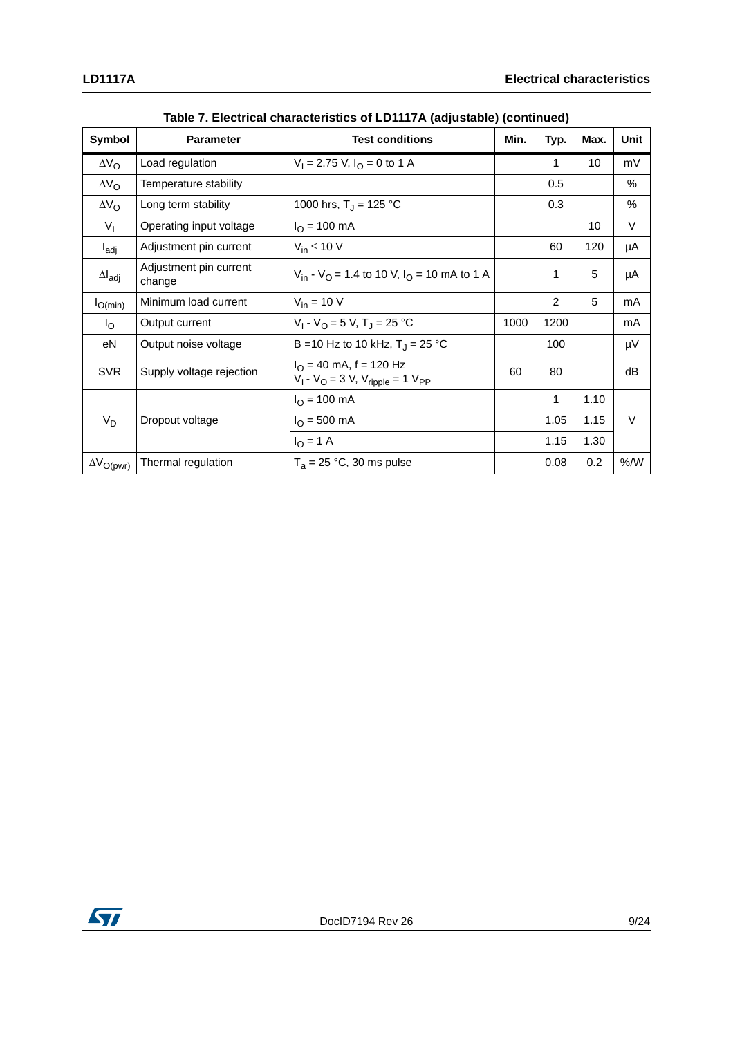| Symbol                  | <b>Parameter</b>                 | <b>Test conditions</b>                                                                        |      | Typ. | Max. | Unit |
|-------------------------|----------------------------------|-----------------------------------------------------------------------------------------------|------|------|------|------|
| $\Delta V_{\rm O}$      | Load regulation                  | $V_1 = 2.75$ V, $I_{\Omega} = 0$ to 1 A                                                       |      | 1.   | 10   | mV   |
| $\Delta V_{\rm O}$      | Temperature stability            |                                                                                               |      | 0.5  |      | $\%$ |
| $\Delta V_{\rm O}$      | Long term stability              | 1000 hrs, $T_J = 125 °C$                                                                      |      | 0.3  |      | %    |
| $V_{1}$                 | Operating input voltage          | $I_{\Omega}$ = 100 mA                                                                         |      |      | 10   | V    |
| $I_{\text{adj}}$        | Adjustment pin current           | $V_{in} \le 10 V$                                                                             |      | 60   | 120  | μA   |
| $\Delta I_{\text{adj}}$ | Adjustment pin current<br>change | $V_{in}$ - $V_{O}$ = 1.4 to 10 V, $I_{O}$ = 10 mA to 1 A                                      |      | 1    | 5    | μA   |
| $I_{O(min)}$            | Minimum load current             | $V_{in}$ = 10 V                                                                               |      | 2    | 5    | mA   |
| $I_{\rm O}$             | Output current                   | $V_1 - V_O = 5 V$ , T <sub>J</sub> = 25 °C                                                    | 1000 | 1200 |      | mA   |
| eN                      | Output noise voltage             | B = 10 Hz to 10 kHz, $T_{\rm J}$ = 25 °C                                                      |      | 100  |      | μV   |
| <b>SVR</b>              | Supply voltage rejection         | $I_{\Omega}$ = 40 mA, f = 120 Hz<br>$V_1 - V_0 = 3 V$ , $V_{\text{ripole}} = 1 V_{\text{PP}}$ | 60   | 80   |      | dB   |
|                         |                                  | $I_{\Omega}$ = 100 mA                                                                         |      | 1    | 1.10 |      |
| $V_D$                   | Dropout voltage                  | $I_{\Omega} = 500 \text{ mA}$                                                                 |      | 1.05 | 1.15 | V    |
|                         |                                  | $I_{\Omega} = 1$ A                                                                            |      | 1.15 | 1.30 |      |
| $\Delta V_{O(pwr)}$     | Thermal regulation               | $T_a = 25 °C$ , 30 ms pulse                                                                   |      | 0.08 | 0.2  | % /W |

| Table 7. Electrical characteristics of LD1117A (adjustable) (continued) |
|-------------------------------------------------------------------------|
|-------------------------------------------------------------------------|

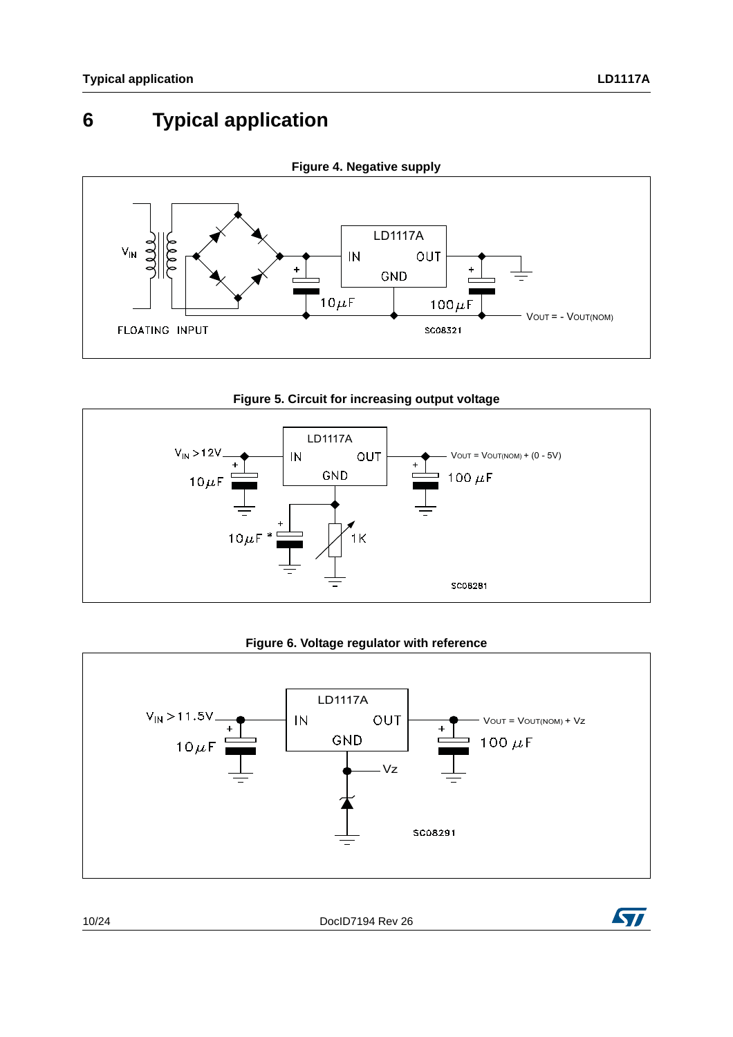# <span id="page-9-0"></span>**6 Typical application**







### **Figure 6. Voltage regulator with reference**

<span id="page-9-1"></span>

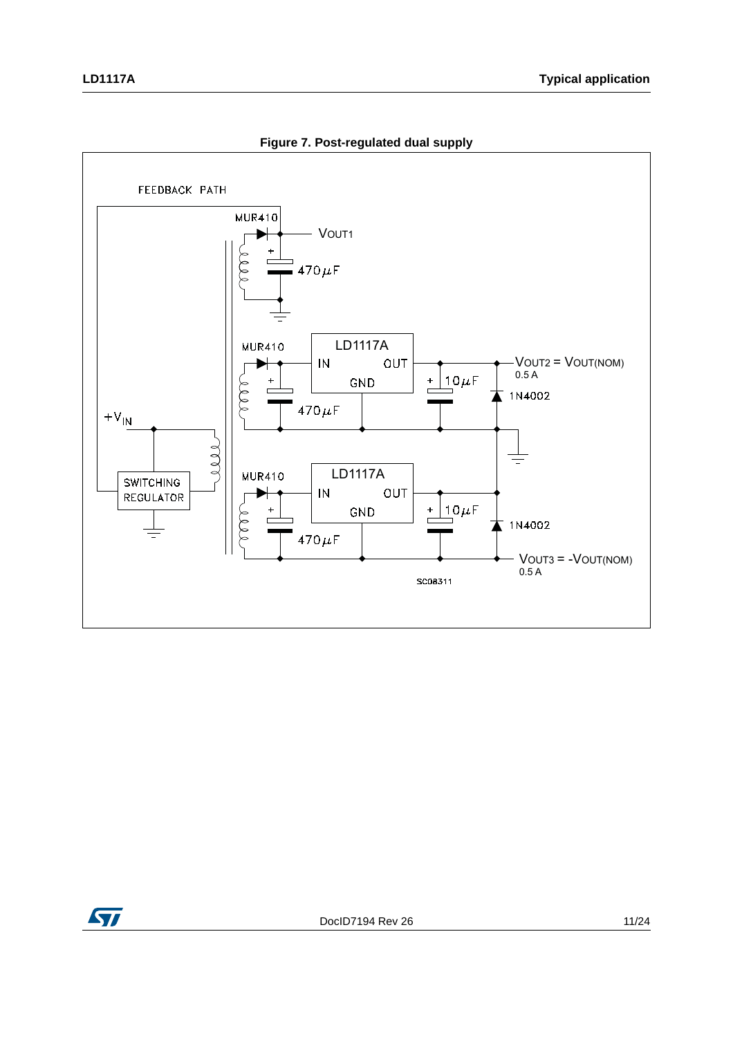

**Figure 7. Post-regulated dual supply** 

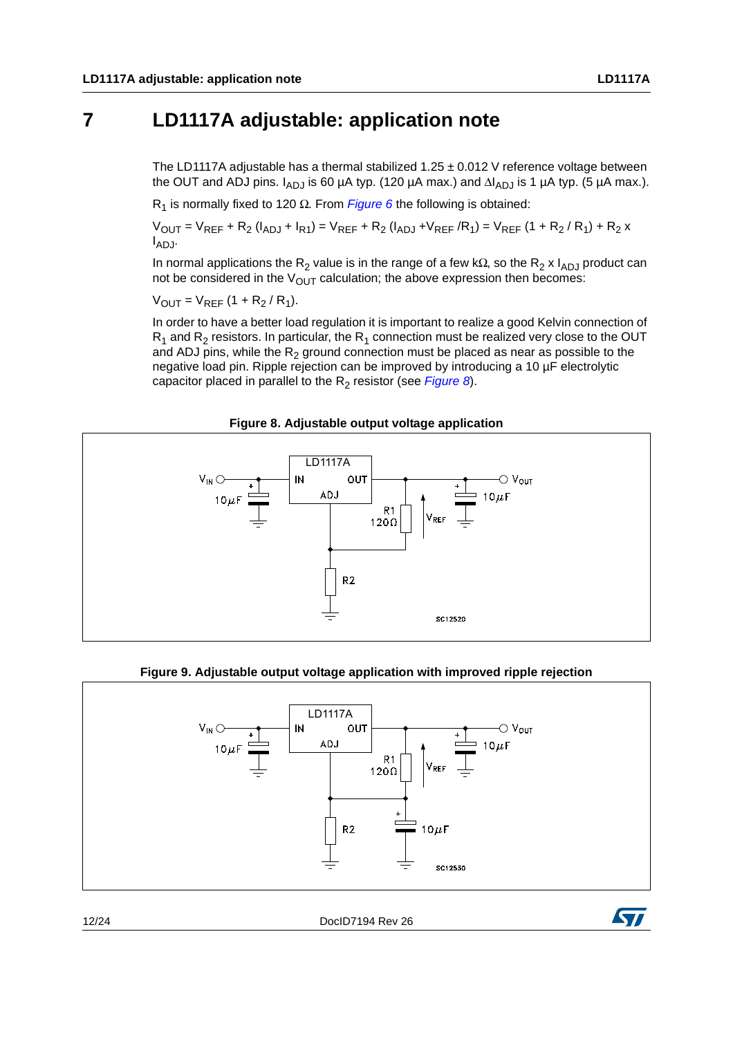### <span id="page-11-0"></span>**7 LD1117A adjustable: application note**

The LD1117A adjustable has a thermal stabilized  $1.25 \pm 0.012$  V reference voltage between the OUT and ADJ pins.  $I_{AD,I}$  is 60 µA typ. (120 µA max.) and  $\Delta I_{AD,I}$  is 1 µA typ. (5 µA max.).

R<sub>1</sub> is normally fixed to 120 Ω. From *[Figure 6](#page-9-1)* the following is obtained:

 $V_{\text{OUT}} = V_{\text{REF}} + R_2 (I_{\text{ADJ}} + I_{\text{R1}}) = V_{\text{REF}} + R_2 (I_{\text{ADJ}} + V_{\text{REF}} / R_1) = V_{\text{REF}} (1 + R_2 / R_1) + R_2 x$  $I_{ADJ}$ .

In normal applications the R<sub>2</sub> value is in the range of a few kΩ, so the R<sub>2</sub> x I<sub>ADJ</sub> product can not be considered in the  $V_{\text{OUT}}$  calculation; the above expression then becomes:

 $V_{\text{OUT}} = V_{\text{REF}} (1 + R_2 / R_1).$ 

In order to have a better load regulation it is important to realize a good Kelvin connection of  $R_1$  and  $R_2$  resistors. In particular, the  $R_1$  connection must be realized very close to the OUT and ADJ pins, while the  $R_2$  ground connection must be placed as near as possible to the negative load pin. Ripple rejection can be improved by introducing a 10 µF electrolytic capacitor placed in parallel to the  $R_2$  resistor (see *[Figure 8](#page-11-1)*).



<span id="page-11-1"></span>

#### **Figure 9. Adjustable output voltage application with improved ripple rejection**



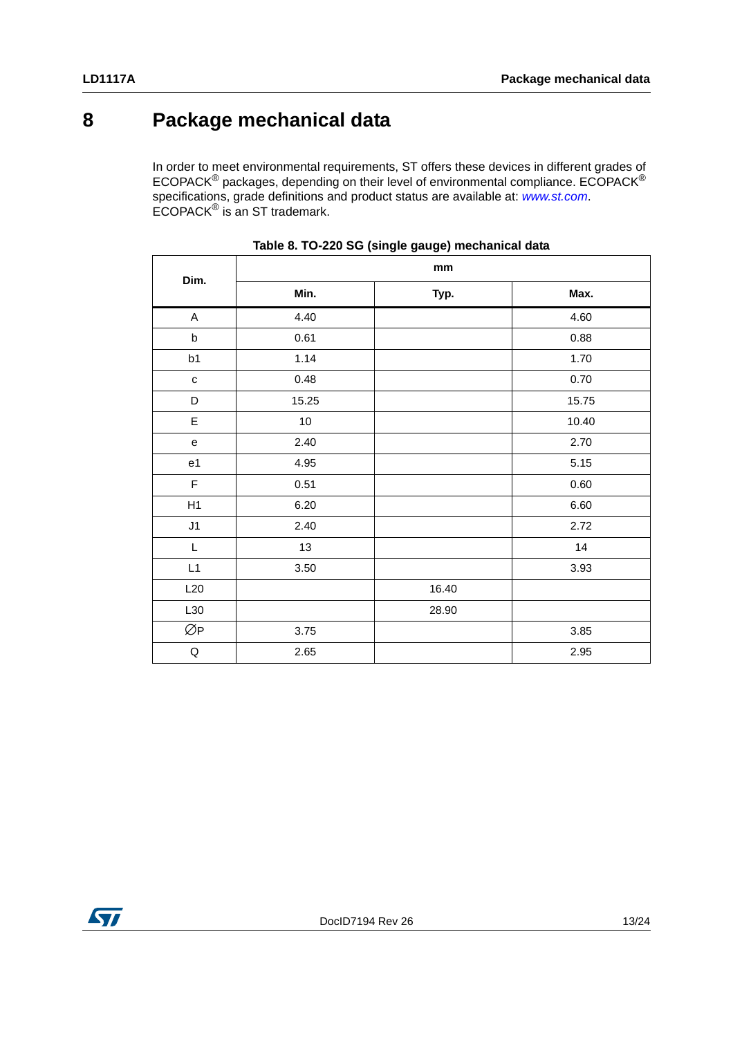# <span id="page-12-0"></span>**8 Package mechanical data**

In order to meet environmental requirements, ST offers these devices in different grades of ECOPACK $^{\circledR}$  packages, depending on their level of environmental compliance. ECOPACK $^{\circledR}$ specifications, grade definitions and product status are available at: *[www.st.com](http://www.st.com)*. ECOPACK® is an ST trademark.

|                           | mm    |       |       |  |  |
|---------------------------|-------|-------|-------|--|--|
| Dim.                      | Min.  | Typ.  | Max.  |  |  |
| $\boldsymbol{\mathsf{A}}$ | 4.40  |       | 4.60  |  |  |
| $\sf b$                   | 0.61  |       | 0.88  |  |  |
| b1                        | 1.14  |       | 1.70  |  |  |
| $\mathbf{C}$              | 0.48  |       | 0.70  |  |  |
| D                         | 15.25 |       | 15.75 |  |  |
| $\mathsf E$               | 10    |       | 10.40 |  |  |
| ${\bf e}$                 | 2.40  |       | 2.70  |  |  |
| e <sub>1</sub>            | 4.95  |       | 5.15  |  |  |
| $\mathsf F$               | 0.51  |       | 0.60  |  |  |
| H1                        | 6.20  |       | 6.60  |  |  |
| J1                        | 2.40  |       | 2.72  |  |  |
| L                         | 13    |       | 14    |  |  |
| L1                        | 3.50  |       | 3.93  |  |  |
| L20                       |       | 16.40 |       |  |  |
| L30                       |       | 28.90 |       |  |  |
| ØP                        | 3.75  |       | 3.85  |  |  |
| Q                         | 2.65  |       | 2.95  |  |  |

**Table 8. TO-220 SG (single gauge) mechanical data**

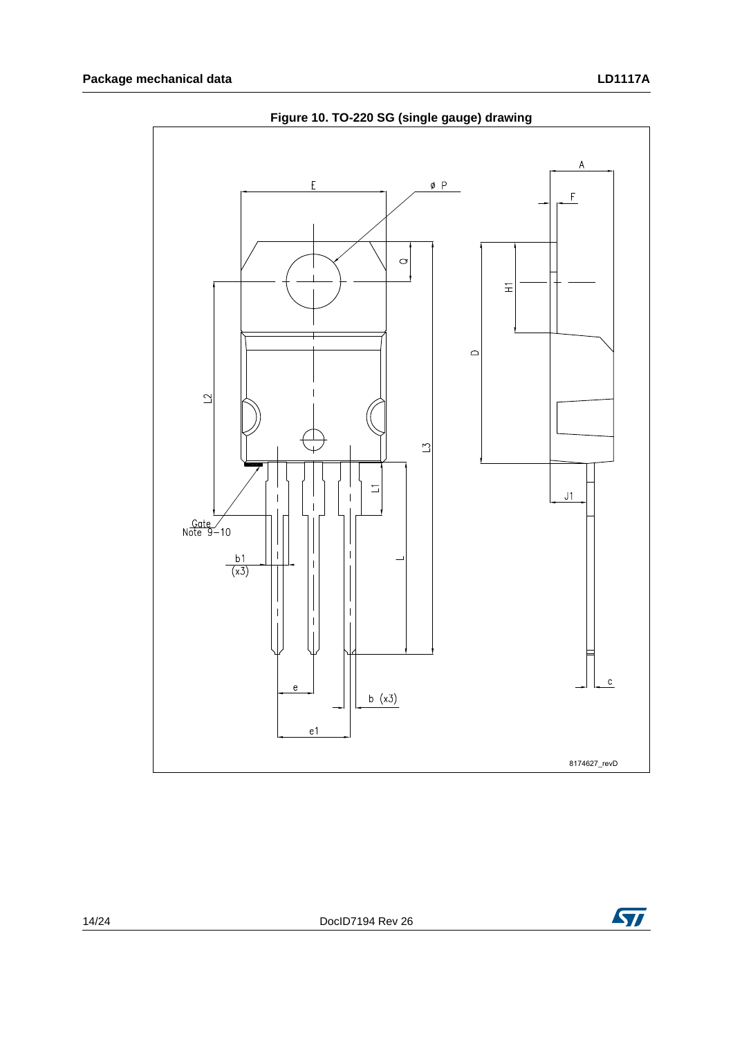

 $e<sub>1</sub>$ 







8174627\_revD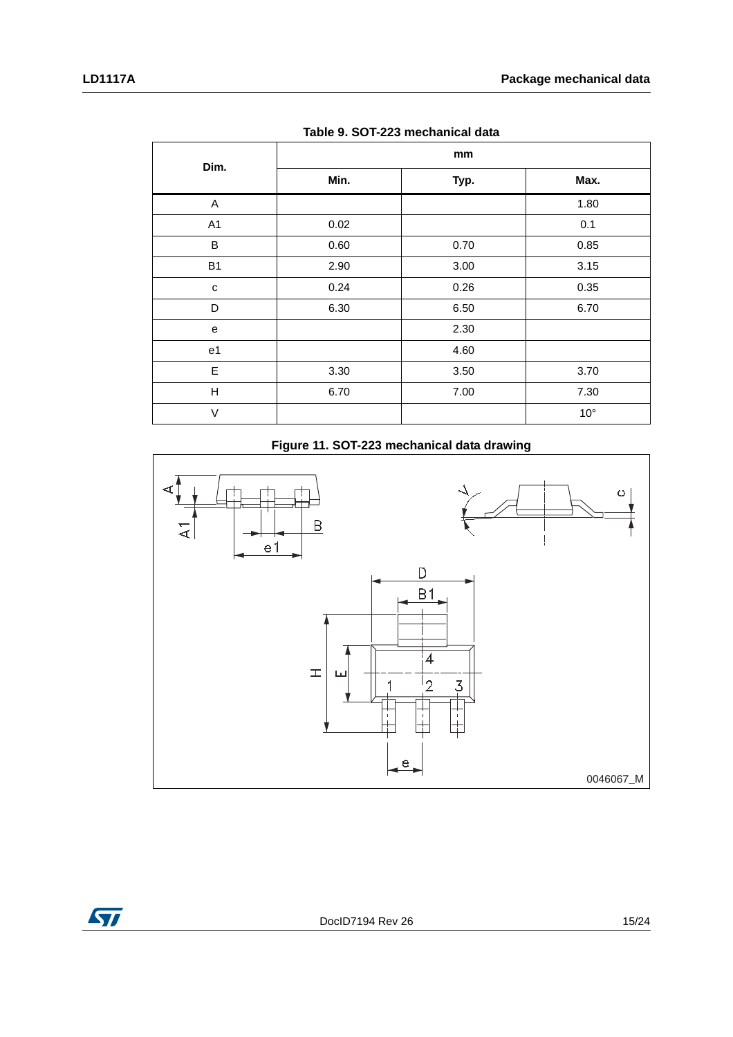| rapic 9: 99 r £29 meenamedr aata |      |      |              |  |  |
|----------------------------------|------|------|--------------|--|--|
|                                  | mm   |      |              |  |  |
| Dim.                             | Min. | Typ. | Max.         |  |  |
| A                                |      |      | 1.80         |  |  |
| A1                               | 0.02 |      | 0.1          |  |  |
| B                                | 0.60 | 0.70 | 0.85         |  |  |
| <b>B1</b>                        | 2.90 | 3.00 | 3.15         |  |  |
| $\mathbf c$                      | 0.24 | 0.26 | 0.35         |  |  |
| D                                | 6.30 | 6.50 | 6.70         |  |  |
| e                                |      | 2.30 |              |  |  |
| e <sub>1</sub>                   |      | 4.60 |              |  |  |
| E                                | 3.30 | 3.50 | 3.70         |  |  |
| Н                                | 6.70 | 7.00 | 7.30         |  |  |
| V                                |      |      | $10^{\circ}$ |  |  |

**Table 9. SOT-223 mechanical data**





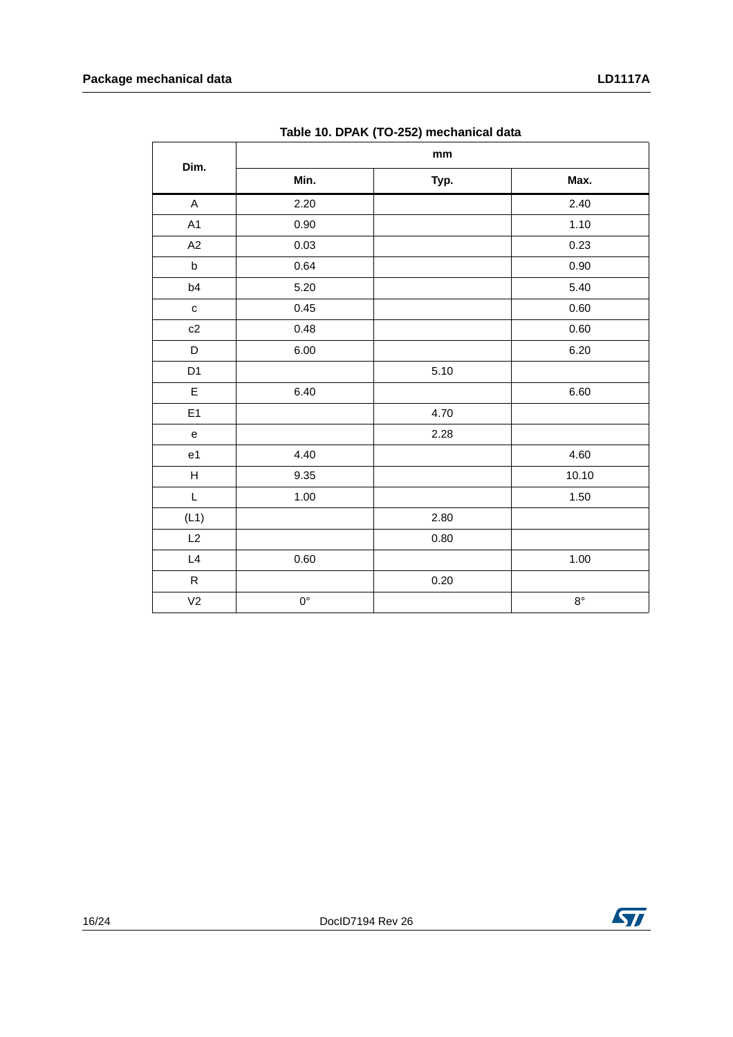|                                                                                                             | mm          |      |             |  |  |
|-------------------------------------------------------------------------------------------------------------|-------------|------|-------------|--|--|
| Dim.                                                                                                        | Min.        | Typ. | Max.        |  |  |
| $\mathsf{A}$                                                                                                | 2.20        |      | 2.40        |  |  |
| A1                                                                                                          | 0.90        |      | 1.10        |  |  |
| A2                                                                                                          | 0.03        |      | 0.23        |  |  |
| $\sf b$                                                                                                     | 0.64        |      | 0.90        |  |  |
| b4                                                                                                          | 5.20        |      | 5.40        |  |  |
| ${\bf c}$                                                                                                   | 0.45        |      | 0.60        |  |  |
| c2                                                                                                          | 0.48        |      | 0.60        |  |  |
| $\mathsf D$                                                                                                 | 6.00        |      | 6.20        |  |  |
| D1                                                                                                          |             | 5.10 |             |  |  |
| $\mathsf E$                                                                                                 | 6.40        |      | 6.60        |  |  |
| E1                                                                                                          |             | 4.70 |             |  |  |
| $\mathsf{e}% _{t}\left( t\right)$                                                                           |             | 2.28 |             |  |  |
| e <sub>1</sub>                                                                                              | 4.40        |      | 4.60        |  |  |
| $\boldsymbol{\mathsf{H}}$                                                                                   | 9.35        |      | 10.10       |  |  |
| $\mathsf{L}% _{0}\left( \mathsf{L}_{0}\right) ^{\ast }=\mathsf{L}_{0}\left( \mathsf{L}_{0}\right) ^{\ast }$ | 1.00        |      | 1.50        |  |  |
| (L1)                                                                                                        |             | 2.80 |             |  |  |
| L2                                                                                                          |             | 0.80 |             |  |  |
| $\mathsf{L}4$                                                                                               | 0.60        |      | 1.00        |  |  |
| ${\sf R}$                                                                                                   |             | 0.20 |             |  |  |
| V <sub>2</sub>                                                                                              | $0^{\circ}$ |      | $8^{\circ}$ |  |  |

**Table 10. DPAK (TO-252) mechanical data**

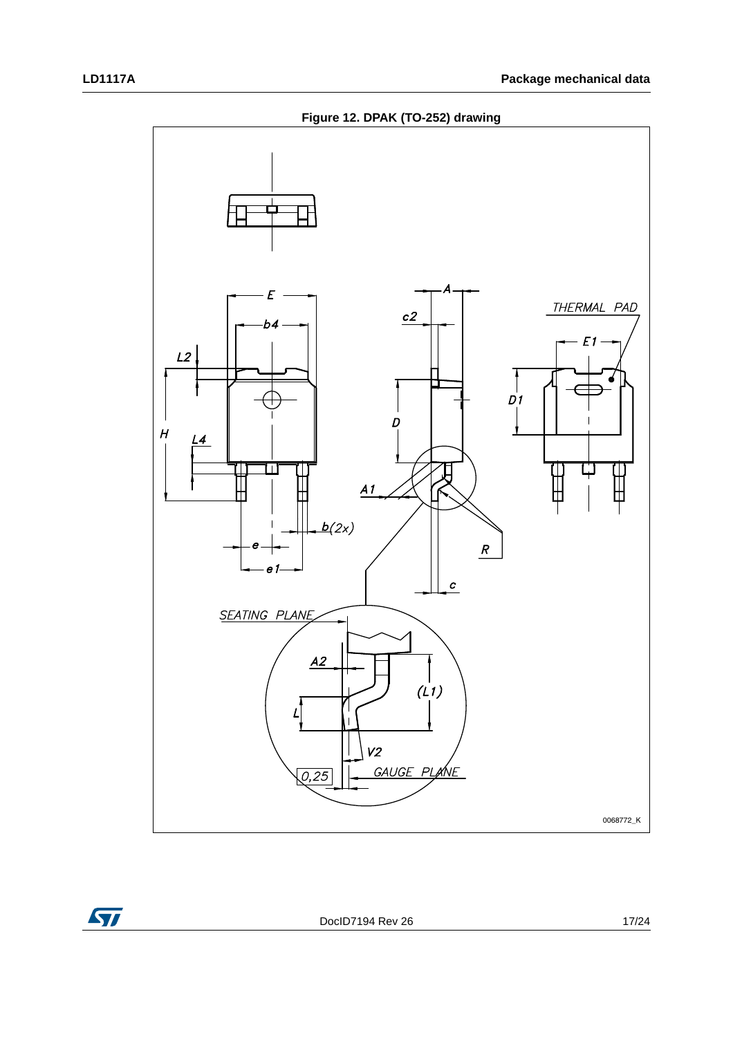





DocID7194 Rev 26 17/24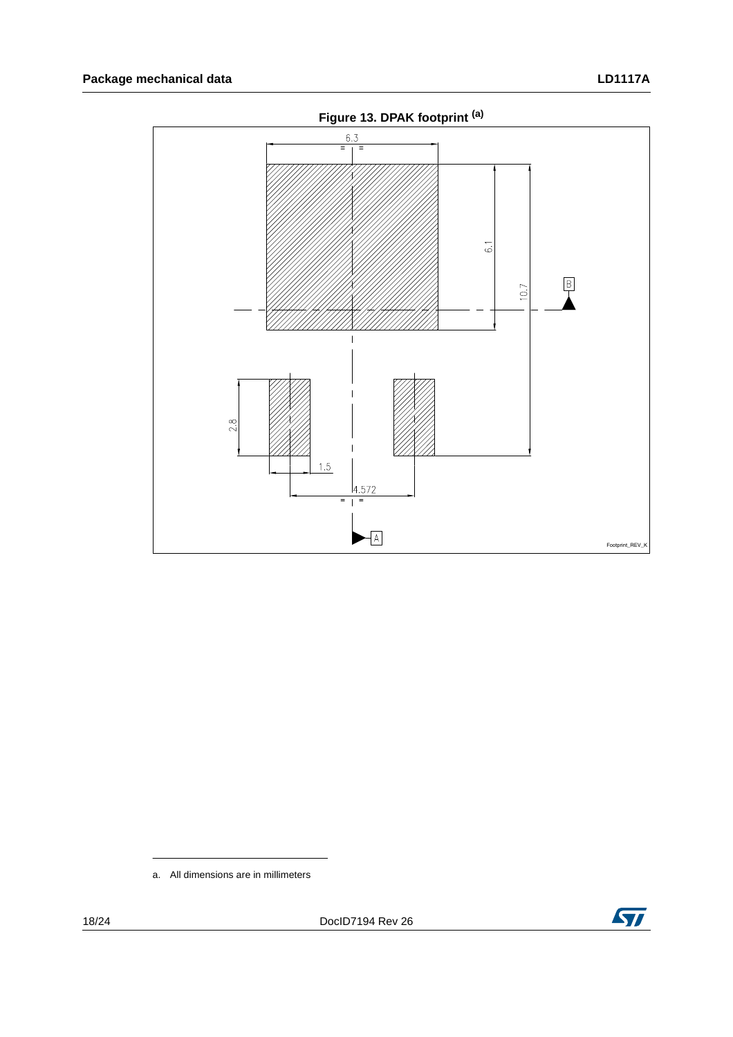

a. All dimensions are in millimeters

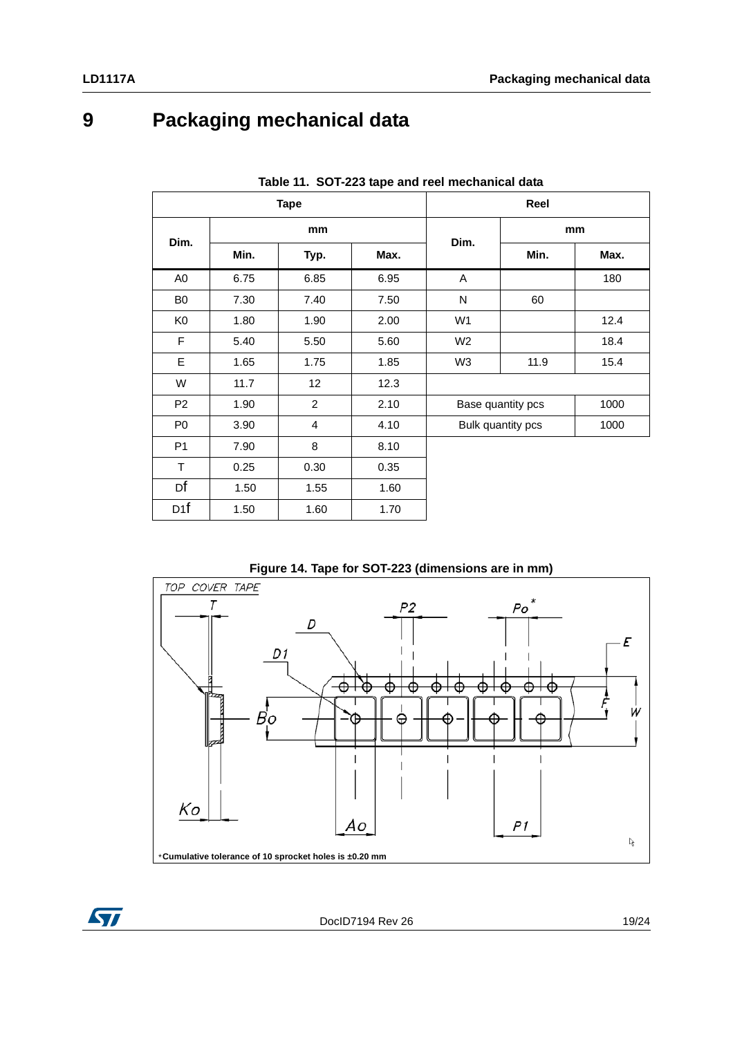# <span id="page-18-0"></span>**9 Packaging mechanical data**

| <b>Tape</b>      |      |                |      | Reel              |                   |      |
|------------------|------|----------------|------|-------------------|-------------------|------|
| Dim.             | mm   |                |      |                   | mm                |      |
|                  | Min. | Typ.           | Max. | Dim.              | Min.              | Max. |
| A0               | 6.75 | 6.85           | 6.95 | Α                 |                   | 180  |
| B <sub>0</sub>   | 7.30 | 7.40           | 7.50 | N                 | 60                |      |
| K <sub>0</sub>   | 1.80 | 1.90           | 2.00 | W1                |                   | 12.4 |
| F                | 5.40 | 5.50           | 5.60 | W <sub>2</sub>    |                   | 18.4 |
| E                | 1.65 | 1.75           | 1.85 | W3                | 11.9              | 15.4 |
| W                | 11.7 | 12             | 12.3 |                   |                   |      |
| P <sub>2</sub>   | 1.90 | $\overline{c}$ | 2.10 |                   | Base quantity pcs | 1000 |
| P <sub>0</sub>   | 3.90 | $\overline{4}$ | 4.10 | Bulk quantity pcs |                   | 1000 |
| P <sub>1</sub>   | 7.90 | 8              | 8.10 |                   |                   |      |
| T                | 0.25 | 0.30           | 0.35 |                   |                   |      |
| Df               | 1.50 | 1.55           | 1.60 |                   |                   |      |
| D <sub>1</sub> f | 1.50 | 1.60           | 1.70 |                   |                   |      |

|  |  |  | Table 11. SOT-223 tape and reel mechanical data |  |
|--|--|--|-------------------------------------------------|--|
|--|--|--|-------------------------------------------------|--|

### **Figure 14. Tape for SOT-223 (dimensions are in mm)**



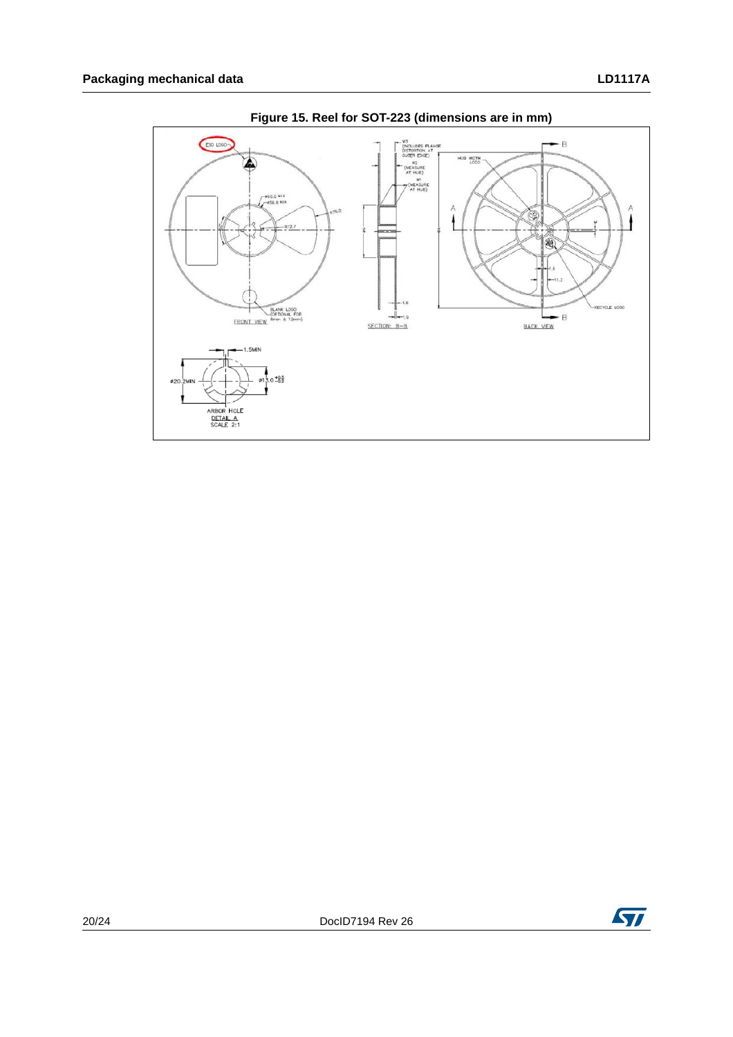

**Figure 15. Reel for SOT-223 (dimensions are in mm)**

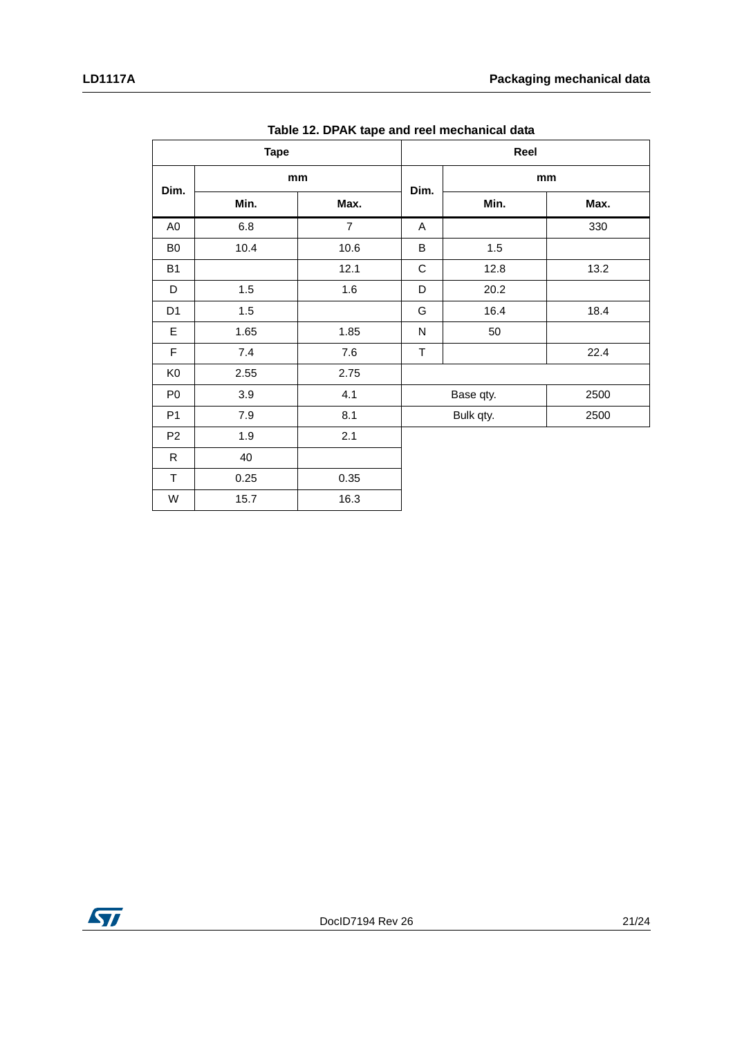| <b>Tape</b>    |      |                | Reel        |           |      |  |
|----------------|------|----------------|-------------|-----------|------|--|
| Dim.           | mm   |                | Dim.        | mm        |      |  |
|                | Min. | Max.           |             | Min.      | Max. |  |
| A <sub>0</sub> | 6.8  | $\overline{7}$ | A           |           | 330  |  |
| B <sub>0</sub> | 10.4 | 10.6           | B           | 1.5       |      |  |
| <b>B1</b>      |      | 12.1           | $\mathsf C$ | 12.8      | 13.2 |  |
| D              | 1.5  | 1.6            | D           | 20.2      |      |  |
| D <sub>1</sub> | 1.5  |                | G           | 16.4      | 18.4 |  |
| E              | 1.65 | 1.85           | ${\sf N}$   | 50        |      |  |
| $\mathsf F$    | 7.4  | 7.6            | $\mathsf T$ |           | 22.4 |  |
| K <sub>0</sub> | 2.55 | 2.75           |             |           |      |  |
| P <sub>0</sub> | 3.9  | 4.1            |             | Base qty. | 2500 |  |
| P <sub>1</sub> | 7.9  | 8.1            |             | Bulk qty. | 2500 |  |
| P <sub>2</sub> | 1.9  | 2.1            |             |           |      |  |
| $\mathsf{R}$   | 40   |                |             |           |      |  |
| $\mathsf T$    | 0.25 | 0.35           |             |           |      |  |
| W              | 15.7 | 16.3           |             |           |      |  |

**Table 12. DPAK tape and reel mechanical data**

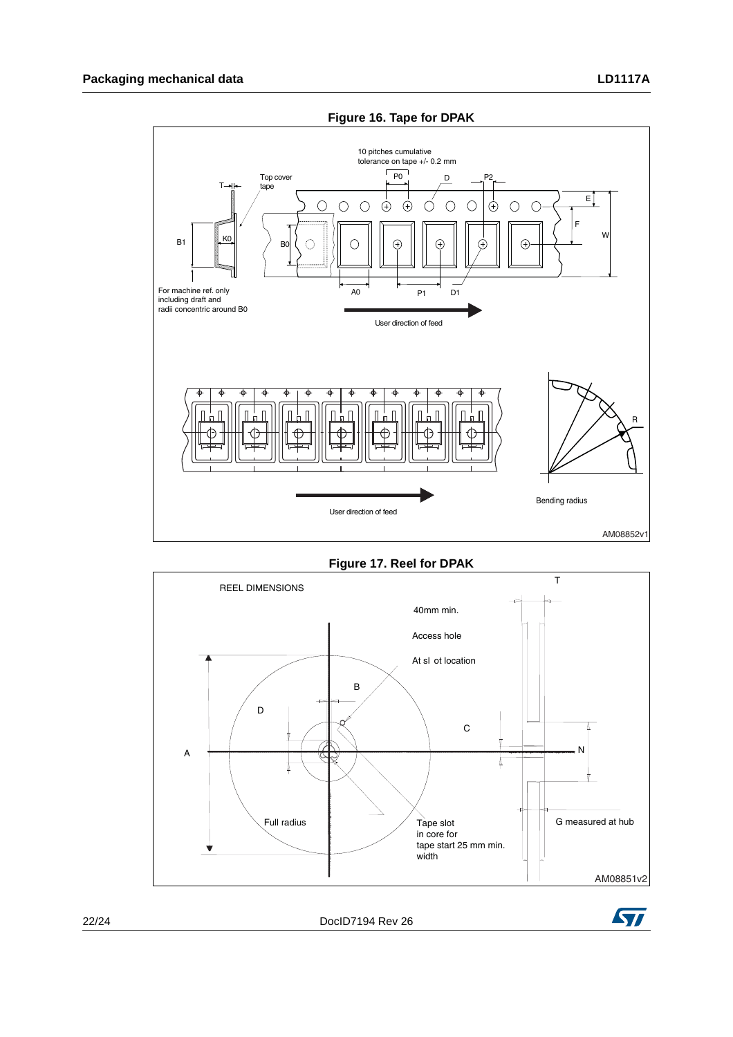

**Figure 17. Reel for DPAK**



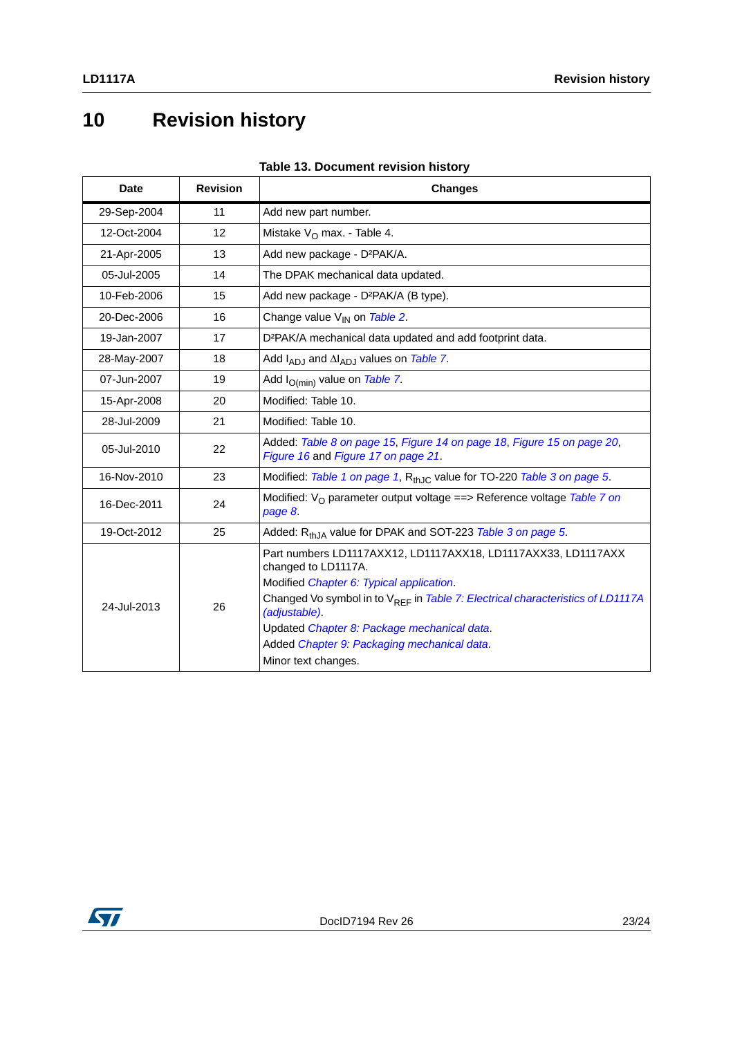# <span id="page-22-0"></span>**10 Revision history**

| <b>Date</b> | <b>Revision</b> | , ושטוכ וט. בסטטוווטות וכיושוטור ווואנטו<br><b>Changes</b>                                                                                                                                                                                                                                                                                                           |
|-------------|-----------------|----------------------------------------------------------------------------------------------------------------------------------------------------------------------------------------------------------------------------------------------------------------------------------------------------------------------------------------------------------------------|
| 29-Sep-2004 | 11              | Add new part number.                                                                                                                                                                                                                                                                                                                                                 |
| 12-Oct-2004 | 12              | Mistake $V_{\Omega}$ max. - Table 4.                                                                                                                                                                                                                                                                                                                                 |
| 21-Apr-2005 | 13              | Add new package - D <sup>2</sup> PAK/A.                                                                                                                                                                                                                                                                                                                              |
| 05-Jul-2005 | 14              | The DPAK mechanical data updated.                                                                                                                                                                                                                                                                                                                                    |
| 10-Feb-2006 | 15              | Add new package - D <sup>2</sup> PAK/A (B type).                                                                                                                                                                                                                                                                                                                     |
| 20-Dec-2006 | 16              | Change value V <sub>IN</sub> on Table 2.                                                                                                                                                                                                                                                                                                                             |
| 19-Jan-2007 | 17              | D <sup>2</sup> PAK/A mechanical data updated and add footprint data.                                                                                                                                                                                                                                                                                                 |
| 28-May-2007 | 18              | Add $I_{ADJ}$ and $\Delta I_{ADJ}$ values on Table 7.                                                                                                                                                                                                                                                                                                                |
| 07-Jun-2007 | 19              | Add I <sub>O(min)</sub> value on Table 7.                                                                                                                                                                                                                                                                                                                            |
| 15-Apr-2008 | 20              | Modified: Table 10.                                                                                                                                                                                                                                                                                                                                                  |
|             |                 |                                                                                                                                                                                                                                                                                                                                                                      |
| 28-Jul-2009 | 21              | Modified: Table 10.                                                                                                                                                                                                                                                                                                                                                  |
| 05-Jul-2010 | 22              | Added: Table 8 on page 15, Figure 14 on page 18, Figure 15 on page 20,<br>Figure 16 and Figure 17 on page 21.                                                                                                                                                                                                                                                        |
| 16-Nov-2010 | 23              | Modified: Table 1 on page 1, R <sub>thJC</sub> value for TO-220 Table 3 on page 5.                                                                                                                                                                                                                                                                                   |
| 16-Dec-2011 | 24              | Modified: $V_O$ parameter output voltage = = > Reference voltage Table 7 on<br>page 8.                                                                                                                                                                                                                                                                               |
| 19-Oct-2012 | 25              | Added: R <sub>thJA</sub> value for DPAK and SOT-223 Table 3 on page 5.                                                                                                                                                                                                                                                                                               |
| 24-Jul-2013 | 26              | Part numbers LD1117AXX12, LD1117AXX18, LD1117AXX33, LD1117AXX<br>changed to LD1117A.<br>Modified Chapter 6: Typical application.<br>Changed Vo symbol in to V <sub>REF</sub> in Table 7: Electrical characteristics of LD1117A<br>(adjustable).<br>Updated Chapter 8: Package mechanical data.<br>Added Chapter 9: Packaging mechanical data.<br>Minor text changes. |

### **Table 13. Document revision history**